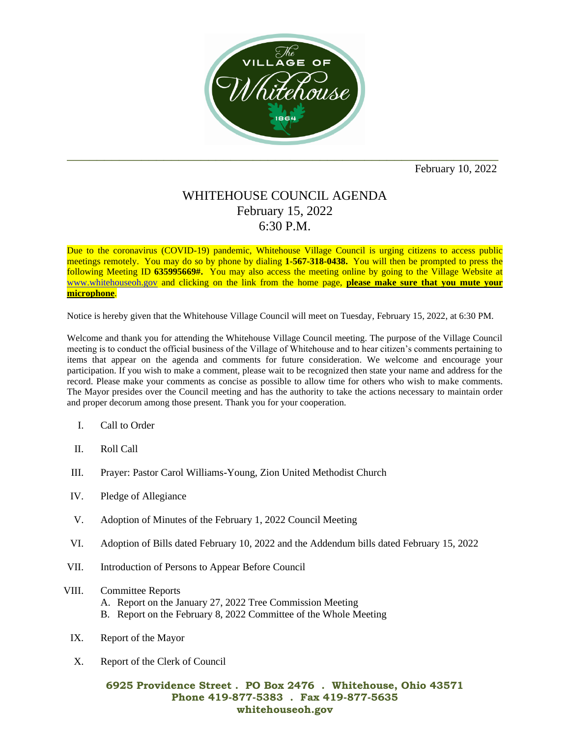

February 10, 2022

## WHITEHOUSE COUNCIL AGENDA February 15, 2022 6:30 P.M.

Due to the coronavirus (COVID-19) pandemic, Whitehouse Village Council is urging citizens to access public meetings remotely. You may do so by phone by dialing **1-567-318-0438.** You will then be prompted to press the following Meeting ID **635995669#.** You may also access the meeting online by going to the Village Website at [www.whitehouseoh.gov](http://www.whitehouseoh.gov/) and clicking on the link from the home page, **please make sure that you mute your microphone**.

Notice is hereby given that the Whitehouse Village Council will meet on Tuesday, February 15, 2022, at 6:30 PM.

Welcome and thank you for attending the Whitehouse Village Council meeting. The purpose of the Village Council meeting is to conduct the official business of the Village of Whitehouse and to hear citizen's comments pertaining to items that appear on the agenda and comments for future consideration. We welcome and encourage your participation. If you wish to make a comment, please wait to be recognized then state your name and address for the record. Please make your comments as concise as possible to allow time for others who wish to make comments. The Mayor presides over the Council meeting and has the authority to take the actions necessary to maintain order and proper decorum among those present. Thank you for your cooperation.

- I. Call to Order
- II. Roll Call
- III. Prayer: Pastor Carol Williams-Young, Zion United Methodist Church
- IV. Pledge of Allegiance
- V. Adoption of Minutes of the February 1, 2022 Council Meeting
- VI. Adoption of Bills dated February 10, 2022 and the Addendum bills dated February 15, 2022
- VII. Introduction of Persons to Appear Before Council
- VIII. Committee Reports
	- A. Report on the January 27, 2022 Tree Commission Meeting
	- B. Report on the February 8, 2022 Committee of the Whole Meeting
- IX. Report of the Mayor
- X. Report of the Clerk of Council

## **6925 Providence Street . PO Box 2476 . Whitehouse, Ohio 43571 Phone 419-877-5383 . Fax 419-877-5635 whitehouseoh.gov**